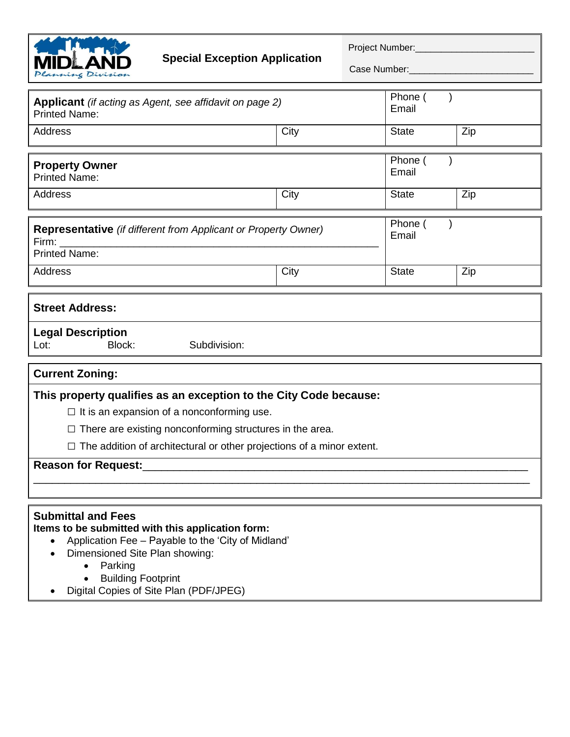

## **Special Exception Application**

Project Number:\_\_\_\_\_\_\_\_\_\_\_\_\_\_\_\_\_\_\_\_\_\_\_

Case Number:\_\_\_\_\_\_\_\_\_\_\_\_\_\_\_\_\_\_\_\_\_\_\_\_

| <b>Applicant</b> (if acting as Agent, see affidavit on page 2)<br><b>Printed Name:</b>                                                                                                                                                                                                                   |      | Phone (<br>Email |     |  |
|----------------------------------------------------------------------------------------------------------------------------------------------------------------------------------------------------------------------------------------------------------------------------------------------------------|------|------------------|-----|--|
| Address                                                                                                                                                                                                                                                                                                  | City | <b>State</b>     | Zip |  |
| <b>Property Owner</b><br><b>Printed Name:</b>                                                                                                                                                                                                                                                            |      | Phone (<br>Email |     |  |
| Address                                                                                                                                                                                                                                                                                                  | City | <b>State</b>     | Zip |  |
| Representative (if different from Applicant or Property Owner)<br>Firm:<br><b>Printed Name:</b>                                                                                                                                                                                                          |      | Phone (<br>Email |     |  |
| Address                                                                                                                                                                                                                                                                                                  | City | <b>State</b>     | Zip |  |
| <b>Street Address:</b>                                                                                                                                                                                                                                                                                   |      |                  |     |  |
| <b>Legal Description</b><br>Block:<br>Subdivision:<br>Lot:                                                                                                                                                                                                                                               |      |                  |     |  |
| <b>Current Zoning:</b>                                                                                                                                                                                                                                                                                   |      |                  |     |  |
| This property qualifies as an exception to the City Code because:<br>$\Box$ It is an expansion of a nonconforming use.<br>$\Box$ There are existing nonconforming structures in the area.<br>$\Box$ The addition of architectural or other projections of a minor extent.<br><b>Reason for Request:_</b> |      |                  |     |  |
| <b>Submittal and Fees</b><br>Items to be submitted with this application form:<br>Application Fee - Payable to the 'City of Midland'<br>$\bullet$<br>Dimensioned Site Plan showing:<br>Parking<br><b>Building Footprint</b><br>Digital Copies of Site Plan (PDF/JPEG)                                    |      |                  |     |  |